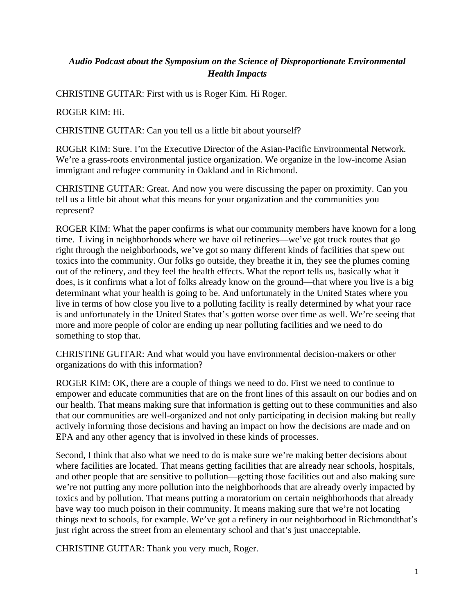## *Audio Podcast about the Symposium on the Science of Disproportionate Environmental Health Impacts*

CHRISTINE GUITAR: First with us is Roger Kim. Hi Roger.

## ROGER KIM: Hi.

CHRISTINE GUITAR: Can you tell us a little bit about yourself?

ROGER KIM: Sure. I'm the Executive Director of the Asian-Pacific Environmental Network. We're a grass-roots environmental justice organization. We organize in the low-income Asian immigrant and refugee community in Oakland and in Richmond.

CHRISTINE GUITAR: Great. And now you were discussing the paper on proximity. Can you tell us a little bit about what this means for your organization and the communities you represent?

ROGER KIM: What the paper confirms is what our community members have known for a long time. Living in neighborhoods where we have oil refineries—we've got truck routes that go right through the neighborhoods, we've got so many different kinds of facilities that spew out toxics into the community. Our folks go outside, they breathe it in, they see the plumes coming out of the refinery, and they feel the health effects. What the report tells us, basically what it does, is it confirms what a lot of folks already know on the ground—that where you live is a big determinant what your health is going to be. And unfortunately in the United States where you live in terms of how close you live to a polluting facility is really determined by what your race is and unfortunately in the United States that's gotten worse over time as well. We're seeing that more and more people of color are ending up near polluting facilities and we need to do something to stop that.

CHRISTINE GUITAR: And what would you have environmental decision-makers or other organizations do with this information?

ROGER KIM: OK, there are a couple of things we need to do. First we need to continue to empower and educate communities that are on the front lines of this assault on our bodies and on our health. That means making sure that information is getting out to these communities and also that our communities are well-organized and not only participating in decision making but really actively informing those decisions and having an impact on how the decisions are made and on EPA and any other agency that is involved in these kinds of processes.

Second, I think that also what we need to do is make sure we're making better decisions about where facilities are located. That means getting facilities that are already near schools, hospitals, and other people that are sensitive to pollution—getting those facilities out and also making sure we're not putting any more pollution into the neighborhoods that are already overly impacted by toxics and by pollution. That means putting a moratorium on certain neighborhoods that already have way too much poison in their community. It means making sure that we're not locating things next to schools, for example. We've got a refinery in our neighborhood in Richmondthat's just right across the street from an elementary school and that's just unacceptable.

CHRISTINE GUITAR: Thank you very much, Roger.